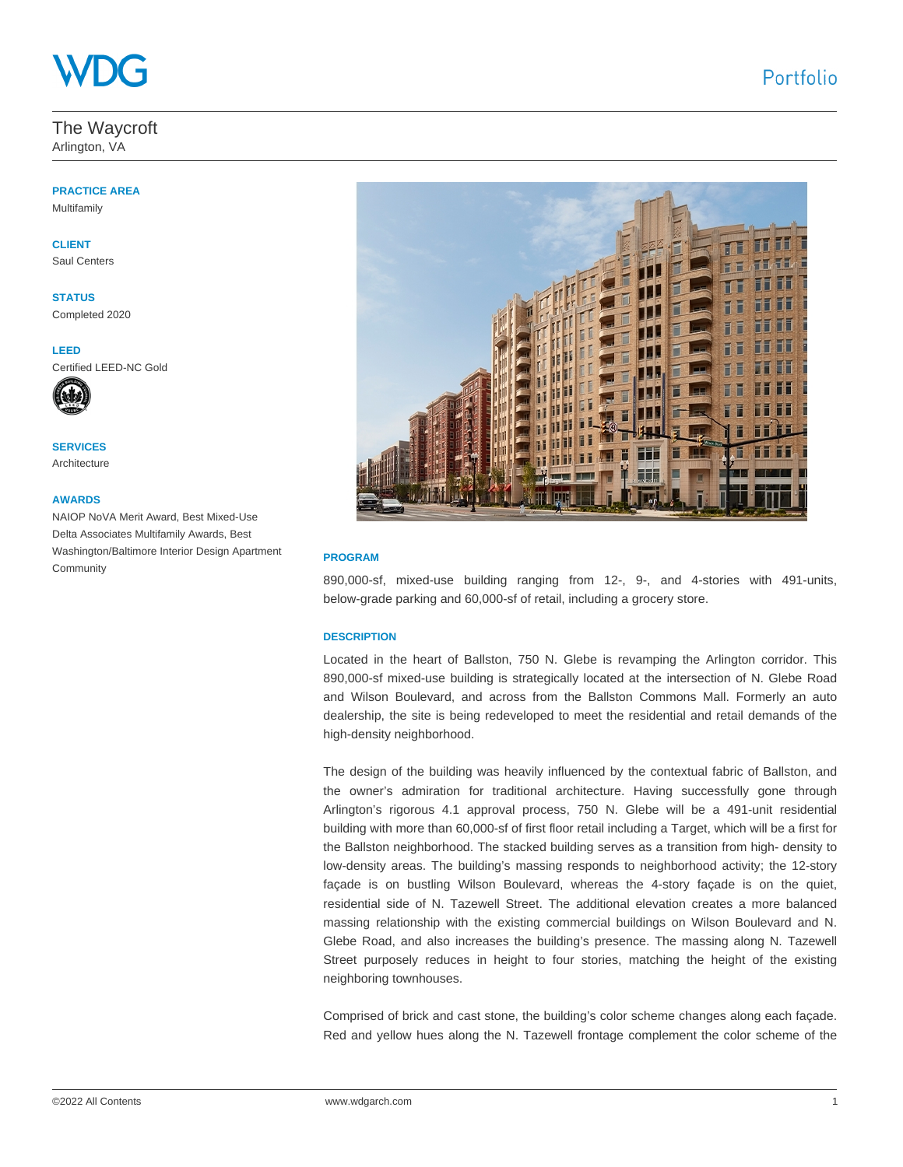## The Waycroft

Arlington, VA

# **PRACTICE AREA**

Multifamily

## **CLIENT**

Saul Centers

**STATUS** Completed 2020

**LEED**  Certified LEED-NC Gold



**SERVICES** Architecture

### **AWARDS**

NAIOP NoVA Merit Award, Best Mixed-Use Delta Associates Multifamily Awards, Best Washington/Baltimore Interior Design Apartment **Community** 



#### **PROGRAM**

890,000-sf, mixed-use building ranging from 12-, 9-, and 4-stories with 491-units, below-grade parking and 60,000-sf of retail, including a grocery store.

#### **DESCRIPTION**

Located in the heart of Ballston, 750 N. Glebe is revamping the Arlington corridor. This 890,000-sf mixed-use building is strategically located at the intersection of N. Glebe Road and Wilson Boulevard, and across from the Ballston Commons Mall. Formerly an auto dealership, the site is being redeveloped to meet the residential and retail demands of the high-density neighborhood.

The design of the building was heavily influenced by the contextual fabric of Ballston, and the owner's admiration for traditional architecture. Having successfully gone through Arlington's rigorous 4.1 approval process, 750 N. Glebe will be a 491-unit residential building with more than 60,000-sf of first floor retail including a Target, which will be a first for the Ballston neighborhood. The stacked building serves as a transition from high- density to low-density areas. The building's massing responds to neighborhood activity; the 12-story façade is on bustling Wilson Boulevard, whereas the 4-story façade is on the quiet, residential side of N. Tazewell Street. The additional elevation creates a more balanced massing relationship with the existing commercial buildings on Wilson Boulevard and N. Glebe Road, and also increases the building's presence. The massing along N. Tazewell Street purposely reduces in height to four stories, matching the height of the existing neighboring townhouses.

Comprised of brick and cast stone, the building's color scheme changes along each façade. Red and yellow hues along the N. Tazewell frontage complement the color scheme of the